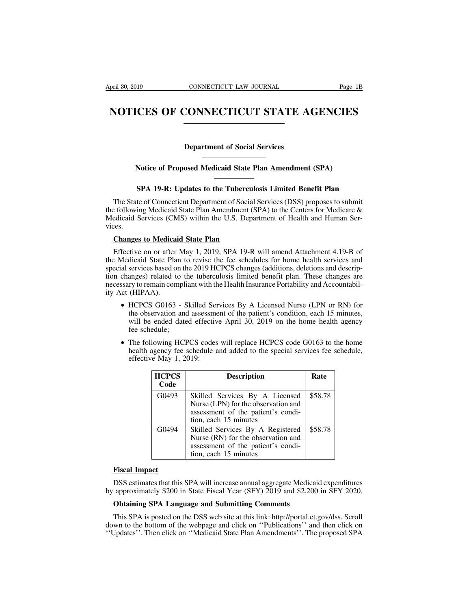## Pril 30, 2019 CONNECTICUT LAW JOURNAL Page 1B<br> **NOTICES OF CONNECTICUT STATE AGENCIES NOTICES OF CONNECTICUT STATE AGENCIES**<br>
Department of Social Services<br>
Notice of Proposed Medicaid State Plan Amendment (SPA) **Notice of Proposed Medicaid State Plan Amendment (SPA)**<br> **Notice of Proposed Medicaid State Plan Amendment (SPA)**

**SPA 19-R: Updates to the Tuberculosis Limited Benefit Plan**<br>
SPA 19-R: Updates to the Tuberculosis Limited Benefit Plan<br>
te of Connecticut Department of Social Services (DSS) proposes to submit<br>
in Medical State Plan Amen Department of Social Services<br>
Notice of Proposed Medicaid State Plan Amendment (SPA)<br>
SPA 19-R: Updates to the Tuberculosis Limited Benefit Plan<br>
The State of Connecticut Department of Social Services (DSS) proposes to su Notice of Proposed Medicaid State Plan Amendment (SPA)<br>
SPA 19-R: Updates to the Tuberculosis Limited Benefit Plan<br>
The State of Connecticut Department of Social Services (DSS) proposes to submit<br>
the following Medicaid St Notice of Proposed Medicaid State Plan Amendment (SPA)<br>
SPA 19-R: Updates to the Tuberculosis Limited Benefit Plan<br>
The State of Connecticut Department of Social Services (DSS) proposes to submit<br>
the following Medicaid St vices. **SPA 19-R: Updates to the Tuberculo**<br>The State of Connecticut Department of Social set of Connecticut Department of Social set of Collowing Medicaid State Plan Amendment (S)<br>edicaid Services (CMS) within the U.S. Departes. The State of Connecticut Department of Social Services (DSS) proposes to submit<br>
Efollowing Medicaid State Plan Amendment (SPA) to the Centers for Medicare &<br>
edicaid Services (CMS) within the U.S. Department of Health and

the following Medicaid State Plan Amendment (SPA) to the Centers for Medicare &<br>Medicaid Services (CMS) within the U.S. Department of Health and Human Services.<br>Changes to Medicaid State Plan<br>Effective on or after May 1, Medicaid Services (CMS) within the U.S. Department of Health and Human Services.<br> **Changes to Medicaid State Plan**<br>
Effective on or after May 1, 2019, SPA 19-R will amend Attachment 4.19-B of<br>
the Medicaid State Plan to re The Correction changes to Medicaid State Plan<br>
Effective on or after May 1, 2019, SPA 19-R will amend Attachment 4.19-B of<br>
the Medicaid State Plan to revise the fee schedules for home health services and<br>
special services **Changes to Medicaid State Plan**<br>
Effective on or after May 1, 2019, SPA 19-R will amend Attachment 4.19-B of<br>
the Medicaid State Plan to revise the fee schedules for home health services and<br>
special services based on th Changes to Medicaid State Plan<br>
Effective on or after May 1, 2019, SPA 19-R will amend Attachment 4.19-B of<br>
the Medicaid State Plan to revise the fee schedules for home health services and<br>
special services based on the dicaid State Plan to revise the fee schedules for home health services and<br>services based on the 2019 HCPCS changes (additions, deletions and descrip-<br>anges) related to the tuberculosis limited benefit plan. These changes

- services based on the 2019 HCPCS changes (additions, deletions and descrip-<br>anges) related to the tuberculosis limited benefit plan. These changes are<br>ry to remain compliant with the Health Insurance Portability and Accoun changes) related to the tuberculosis limited benefit plan. These changes are<br>sary to remain compliant with the Health Insurance Portability and Accountabil-<br>ct (HIPAA).<br>• HCPCS G0163 - Skilled Services By A Licensed Nurse HCPCS G0163 - Skilled Services By A Licensed Nurse (LPN or RN) for<br>the observation and assessment of the patient's condition, each 15 minutes,<br>will be ended dated effective April 30, 2019 on the home health agency<br>fee sche HCPCS G0163 - Skilled Ser<br>the observation and assessme<br>will be ended dated effective<br>fee schedule;<br>The following HCPCS codes<br>health agency fee schedule a<br>effective May 1, 2019:<br>HCPCS
- 

| <b>HCPCS</b><br>Code | <b>Description</b>                                                                                                                    | Rate    |
|----------------------|---------------------------------------------------------------------------------------------------------------------------------------|---------|
| G0493                | Skilled Services By A Licensed<br>Nurse (LPN) for the observation and<br>assessment of the patient's condi-<br>tion, each 15 minutes  | \$58.78 |
| G0494                | Skilled Services By A Registered<br>Nurse (RN) for the observation and<br>assessment of the patient's condi-<br>tion, each 15 minutes | \$58.78 |
| <b>Fiscal Impact</b> | DSS estimates that this SPA will increase annual aggregate Medicaid expenditures                                                      |         |

Tiscal Impact<br>
Tiscal Impact<br>
DSS estimates that this SPA will increase annual aggregate Medica<br>
approximately \$200 in State Fiscal Year (SFY) 2019 and \$2,200<br>
Obtaining SPA Language and Submitting Comments<br>
This SPA is po

**Fiscal Impact**<br>
DSS estimates that this SPA will increase annual aggregate Medicaid expenditures<br>
approximately \$200 in State Fiscal Year (SFY) 2019 and \$2,200 in SFY 2020.<br> **Obtaining SPA Language and Submitting Comments EXECT EXECT:**<br>
DSS estimates that this SPA will increase annual aggregate Medicaid expenditures<br>
by approximately \$200 in State Fiscal Year (SFY) 2019 and \$2,200 in SFY 2020.<br> **Obtaining SPA Language and Submitting Commen** DSS estimates that this SPA will increase annual aggregate Medicaid expenditures<br>by approximately \$200 in State Fiscal Year (SFY) 2019 and \$2,200 in SFY 2020.<br>**Obtaining SPA Language and Submitting Comments**<br>This SPA is po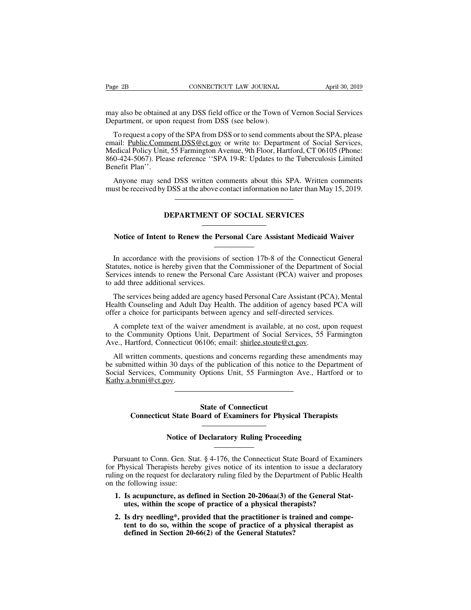Page 2B<br>
CONNECTICUT LAW JOURNAL<br>
may also be obtained at any DSS field office or the Town of Vernon Social Services<br>
Department, or upon request from DSS (see below). Page 2B<br>
CONNECTICUT LAW JOURNAL<br>
may also be obtained at any DSS field office or the Town of<br>
Department, or upon request from DSS (see below).<br>
To request a copy of the SPA from DSS or to send comme

EXECTIVE SOFTIGHT CONNECTICUT LAW JOURNAL April 30, 2019<br>ay also be obtained at any DSS field office or the Town of Vernon Social Services<br>partment, or upon request from DSS (see below).<br>To request a copy of the SPA from D Example 2B<br>
EXAMPLE 10 LAW JOOKNAL THAT APPEN 30, 2019<br>
may also be obtained at any DSS field office or the Town of Vernon Social Services<br>
Department, or upon request from DSS (see below).<br>
To request a copy of the SPA fr may also be obtained at any DSS field office or the Town of Vernon Social Services<br>Department, or upon request from DSS (see below).<br>To request a copy of the SPA from DSS or to send comments about the SPA, please<br>email: <u>P</u> may also be obtained at any DSS field office or the Town of Vernon Social Services<br>Department, or upon request from DSS (see below).<br>To request a copy of the SPA from DSS or to send comments about the SPA, please<br>email: <u>P</u> may also be obtained<br>Department, or upor<br>To request a copy<br>email: <u>Public Comm</u><br>Medical Policy Unit,<br>860-424-5067). Plea<br>Benefit Plan''.<br>Anyone may sen To request a copy of the SPA from DSS or to send comments about the SPA, please<br>nail: <u>Public.Comment.DSS@ct.gov</u> or write to: Department of Social Services,<br>edical Policy Unit, 55 Farmington Avenue, 9th Floor, Hartford, C To request a copy of the SPA from DSS or to send comments about the SPA, please email: Public.Comment.DSS@ct.gov or write to: Department of Social Services, Medical Policy Unit, 55 Farmington Avenue, 9th Floor, Hartford, C

Exase Ference SPA 19-R: Opdates to the Tuberculosis L<br>
nd DSS written comments about this SPA. Written con<br>
DSS at the above contact information no later than May 15<br>
DEPARTMENT OF SOCIAL SERVICES Anyone may send DSS written comments about this SPA. Written comments<br>to be received by DSS at the above contact information no later than May 15, 2019.<br>**DEPARTMENT OF SOCIAL SERVICES**<br>Notice of Intent to Renew the Persona

**INDEPARTMENT OF SOCIAL SERVICES**<br> **In accordance with the provisions of section 17b-8 of the Connecticut General**<br> **In accordance with the provisions of section 17b-8 of the Connecticut General**<br>
atutes, notice is hereby **STATE ASSECT ALSERVICES**<br>
Notice of Intent to Renew the Personal Care Assistant Medicaid Waiver<br>
In accordance with the provisions of section 17b-8 of the Connecticut General<br>
Statutes, notice is hereby given that the Com Notice of Intent to Renew the Personal Care Assistant Medicaid Waiver<br>In accordance with the provisions of section 17b-8 of the Connecticut General<br>Statutes, notice is hereby given that the Commissioner of the Department o Notice of Intent to Renew the Pe<br>
—<br>
In accordance with the provisions<br>
Statutes, notice is hereby given that the<br>
Services intends to renew the Persona<br>
to add three additional services.<br>
The services being added are agen In accordance with the provisions of section 17b-8 of the Connecticut General<br>atutes, notice is hereby given that the Commissioner of the Department of Social<br>rvices intends to renew the Personal Care Assistant (PCA) waive In accordance with the provisions of section 17b-8 of the Connecticut General<br>Statutes, notice is hereby given that the Commissioner of the Department of Social<br>Services intends to renew the Personal Care Assistant (PCA) w In accordance with the provisions of section 17b-8 of the Connecticut Gen<br>Statutes, notice is hereby given that the Commissioner of the Department of So<br>Services intends to renew the Personal Care Assistant (PCA) waiver an

rvices intends to renew the Personal Care Assistant (PCA) waiver and proposes add three additional services.<br>The services being added are agency based Personal Care Assistant (PCA), Mental ealth Counseling and Adult Day He to add three additional services.<br>
The services being added are agency based Personal Care Assistant (PCA), Mental<br>
Health Counseling and Adult Day Health. The addition of agency based PCA will<br>
offer a choice for particip The services being added are agency based Personal Care Assistant (PC)<br>Health Counseling and Adult Day Health. The addition of agency base<br>offer a choice for participants between agency and self-directed service<br>A complete

ealth Counseling and Adult Day Health. The addition of agency based PCA will<br>fer a choice for participants between agency and self-directed services.<br>A complete text of the waiver amendment is available, at no cost, upon r offer a choice for participants between agency and self-directed services.<br>A complete text of the waiver amendment is available, at no cost, upon request<br>to the Community Options Unit, Department of Social Services, 55 Far A complete text of the waiver amendment is available, at no cost, upon request<br>to the Community Options Unit, Department of Social Services, 55 Farmington<br>Ave., Hartford, Connecticut 06106; email: shirlee.stoute@ct.gov.<br>Al Kathy.a.bruni@ct.gov. Franciscon and concerns regarding<br>
State publication of this notic<br>
Options Unit, 55 Farmington<br>
State of Connecticut<br>
ard of Examiners for Physi inted within 30 days of the publication of this notice to the Department of Services, Community Options Unit, 55 Farmington Ave., Hartford or to be being between the state of Connecticut<br> **Connecticut**<br> **Connecticut State** 

# State of Connecticut<br>
Connecticut State Board of Examiners for Physical Therapists<br>
Notice of Declaratory Ruling Proceeding<br>
Pursuant to Conn. Gen. Stat. § 4-176, the Connecticut State Board of Examiners

State of Connecticut<br>
Connecticut State Board of Examiners for Physical Therapists<br>
Notice of Declaratory Ruling Proceeding<br>
Pursuant to Conn. Gen. Stat. § 4-176, the Connecticut State Board of Examiners<br>
Physical Therapis For Physical Therapists<br> **Kotice of Declaratory Ruling Proceeding**<br> **Rursuant to Conn. Gen. Stat. § 4-176, the Connecticut State Board of Examiners**<br>
for Physical Therapists hereby gives notice of its intention to issue a **Example 18 Alternative Connection**<br>Pursuant to Conn. Gen. Stat. § 4-176, the Connecticut State Board of Examiners<br>for Physical Therapists hereby gives notice of its intention to issue a declaratory<br>ruling on the request f **Notice of**<br>
Pursuant to Conn. Gen. State<br>
for Physical Therapists here<br>
ruling on the request for decla<br>
on the following issue:<br> **1. Is acupuncture, as defectively**<br>
the sector Pursuant to Conn. Gen. Stat. § 4-176, the Connecticut State Board of Examin<br>
Physical Therapists hereby gives notice of its intention to issue a declarate<br>
ing on the request for declaratory ruling filed by the Department for Physical Therapists hereby gives notice of its intention to issue a declaratory<br>ruling on the request for declaratory ruling filed by the Department of Public Health<br>on the following issue:<br>**1.** Is acupuncture, as defi **2.** Is dry needling\*, provided that the practitioner is trained and competent to do so, within the scope of practice of a physical therapists?<br> **2.** Is dry needling\*, provided that the practitioner is trained and competen

- 
- **the solution of the solution of the solution** of such a decident of public Health is following issue:<br> **Is acupuncture, as defined in Section 20-206aa(3) of the General Stat-**<br> **Is acupuncture, as defined in Section 20-20** defined in Section 20-206aa(3) of the General Stature, as defined in Section 20-206aa(3) of the sope of practice of a physical theral Is dry needling<sup>\*</sup>, provided that the practitioner is trent to do so, within the scope o